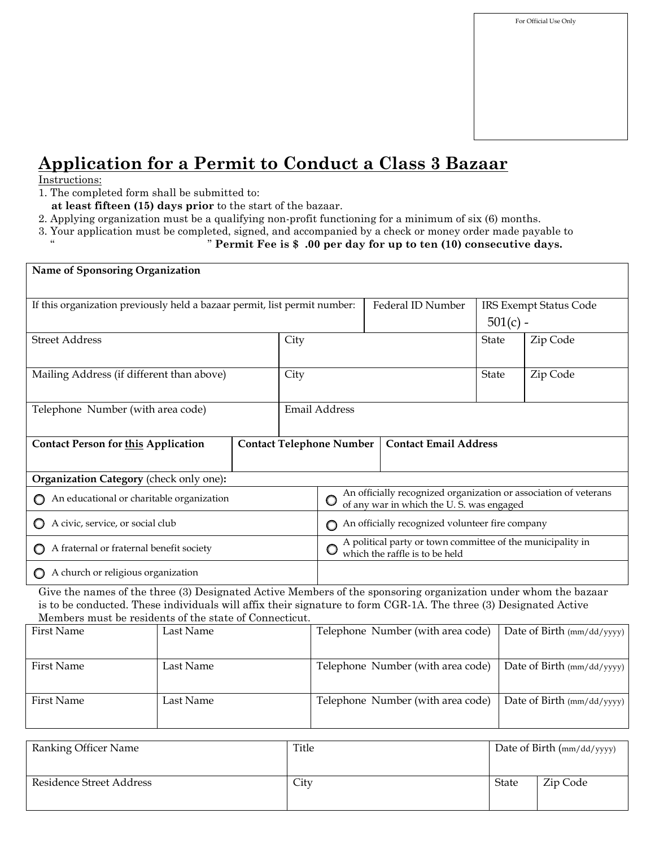## **Application for a Permit to Conduct a Class 3 Bazaar**

## Instructions:

- 1. The completed form shall be submitted to:
- **at least fifteen (15) days prior** to the start of the bazaar.
- 2. Applying organization must be a qualifying non-profit functioning for a minimum of six (6) months.
- 3. Your application must be completed, signed, and accompanied by a check or money order made payable to

" " **Permit Fee is \$ .00 per day for up to ten (10) consecutive days.**

| Name of Sponsoring Organization                                                                                                                                                                                                                                                              |           |  |                      |                                                                                                              |  |                                   |                                      |                            |                            |
|----------------------------------------------------------------------------------------------------------------------------------------------------------------------------------------------------------------------------------------------------------------------------------------------|-----------|--|----------------------|--------------------------------------------------------------------------------------------------------------|--|-----------------------------------|--------------------------------------|----------------------------|----------------------------|
| If this organization previously held a bazaar permit, list permit number:                                                                                                                                                                                                                    |           |  |                      |                                                                                                              |  | Federal ID Number                 | IRS Exempt Status Code<br>$501(c)$ - |                            |                            |
| <b>Street Address</b>                                                                                                                                                                                                                                                                        |           |  | City                 |                                                                                                              |  | State                             |                                      | Zip Code                   |                            |
| Mailing Address (if different than above)                                                                                                                                                                                                                                                    |           |  | City                 |                                                                                                              |  |                                   | State                                |                            | Zip Code                   |
| Telephone Number (with area code)                                                                                                                                                                                                                                                            |           |  | <b>Email Address</b> |                                                                                                              |  |                                   |                                      |                            |                            |
| <b>Contact Person for this Application</b>                                                                                                                                                                                                                                                   |           |  |                      | <b>Contact Email Address</b><br><b>Contact Telephone Number</b>                                              |  |                                   |                                      |                            |                            |
| Organization Category (check only one):                                                                                                                                                                                                                                                      |           |  |                      |                                                                                                              |  |                                   |                                      |                            |                            |
| An educational or charitable organization                                                                                                                                                                                                                                                    |           |  |                      | An officially recognized organization or association of veterans<br>of any war in which the U.S. was engaged |  |                                   |                                      |                            |                            |
| A civic, service, or social club                                                                                                                                                                                                                                                             |           |  |                      | An officially recognized volunteer fire company                                                              |  |                                   |                                      |                            |                            |
| A fraternal or fraternal benefit society                                                                                                                                                                                                                                                     |           |  |                      | A political party or town committee of the municipality in which the raffle is to be held $\,$               |  |                                   |                                      |                            |                            |
| A church or religious organization                                                                                                                                                                                                                                                           |           |  |                      |                                                                                                              |  |                                   |                                      |                            |                            |
| Give the names of the three (3) Designated Active Members of the sponsoring organization under whom the bazaar<br>is to be conducted. These individuals will affix their signature to form CGR-1A. The three (3) Designated Active<br>Members must be residents of the state of Connecticut. |           |  |                      |                                                                                                              |  |                                   |                                      |                            |                            |
| <b>First Name</b>                                                                                                                                                                                                                                                                            | Last Name |  |                      | Telephone Number (with area code)                                                                            |  |                                   |                                      | Date of Birth (mm/dd/yyyy) |                            |
| <b>First Name</b>                                                                                                                                                                                                                                                                            | Last Name |  |                      | Telephone Number (with area code)                                                                            |  |                                   | Date of Birth (mm/dd/yyyy)           |                            |                            |
| <b>First Name</b>                                                                                                                                                                                                                                                                            | Last Name |  |                      |                                                                                                              |  | Telephone Number (with area code) |                                      |                            | Date of Birth (mm/dd/yyyy) |

| Ranking Officer Name     | Title | Date of Birth (mm/dd/yyyy) |          |
|--------------------------|-------|----------------------------|----------|
| Residence Street Address | City  | <b>State</b>               | Zip Code |
|                          |       |                            |          |
|                          |       |                            |          |